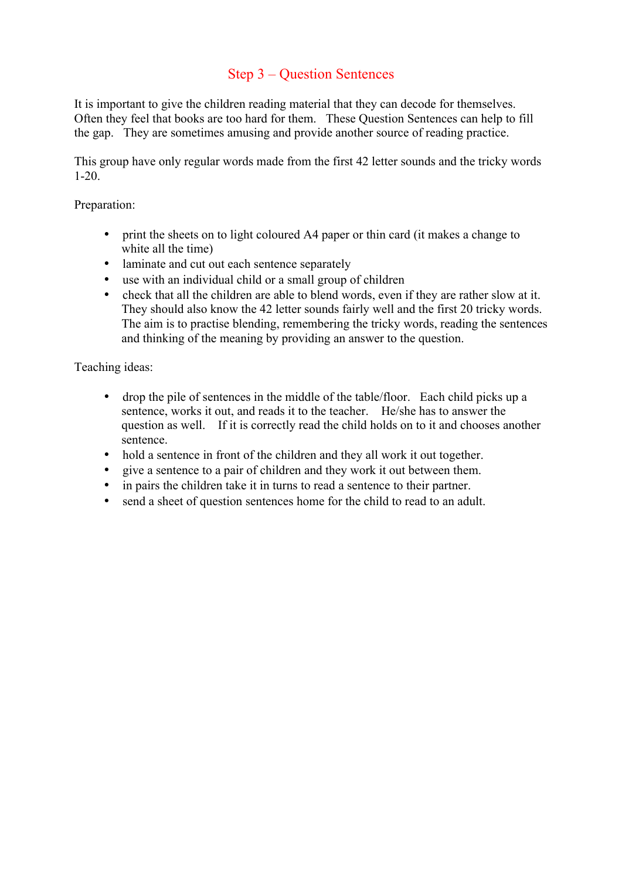## Step 3 – Question Sentences

It is important to give the children reading material that they can decode for themselves. Often they feel that books are too hard for them. These Question Sentences can help to fill the gap. They are sometimes amusing and provide another source of reading practice.

This group have only regular words made from the first 42 letter sounds and the tricky words 1-20.

## Preparation:

- print the sheets on to light coloured A4 paper or thin card (it makes a change to white all the time)
- laminate and cut out each sentence separately
- use with an individual child or a small group of children
- check that all the children are able to blend words, even if they are rather slow at it. They should also know the 42 letter sounds fairly well and the first 20 tricky words. The aim is to practise blending, remembering the tricky words, reading the sentences and thinking of the meaning by providing an answer to the question.

Teaching ideas:

- drop the pile of sentences in the middle of the table/floor. Each child picks up a sentence, works it out, and reads it to the teacher. He/she has to answer the question as well. If it is correctly read the child holds on to it and chooses another sentence.
- hold a sentence in front of the children and they all work it out together.
- give a sentence to a pair of children and they work it out between them.
- in pairs the children take it in turns to read a sentence to their partner.
- send a sheet of question sentences home for the child to read to an adult.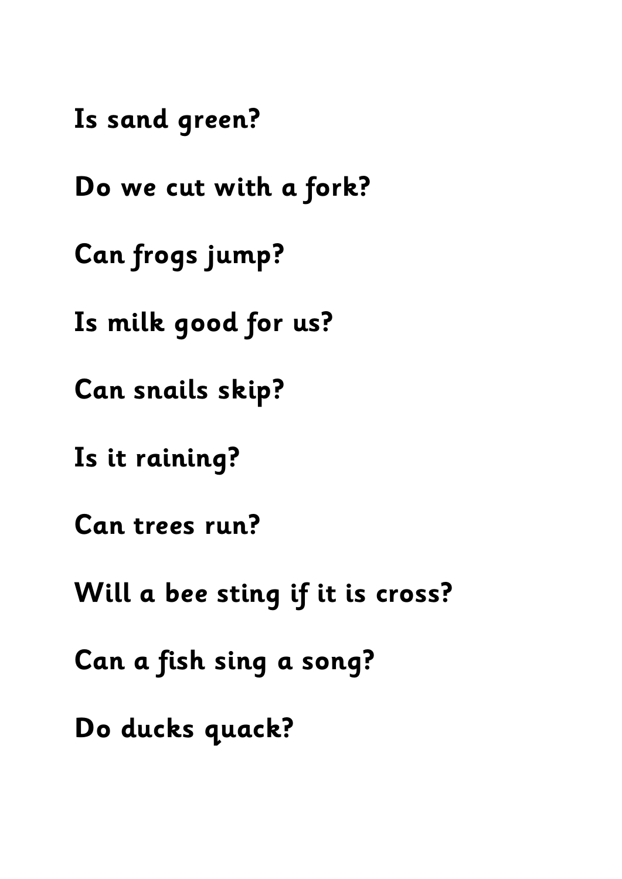**Is sand green?**

**Do we cut with a fork?**

**Can frogs jump?**

**Is milk good for us?**

**Can snails skip?**

**Is it raining?**

**Can trees run?**

**Will a bee sting if it is cross?**

**Can a fish sing a song?**

**Do ducks quack?**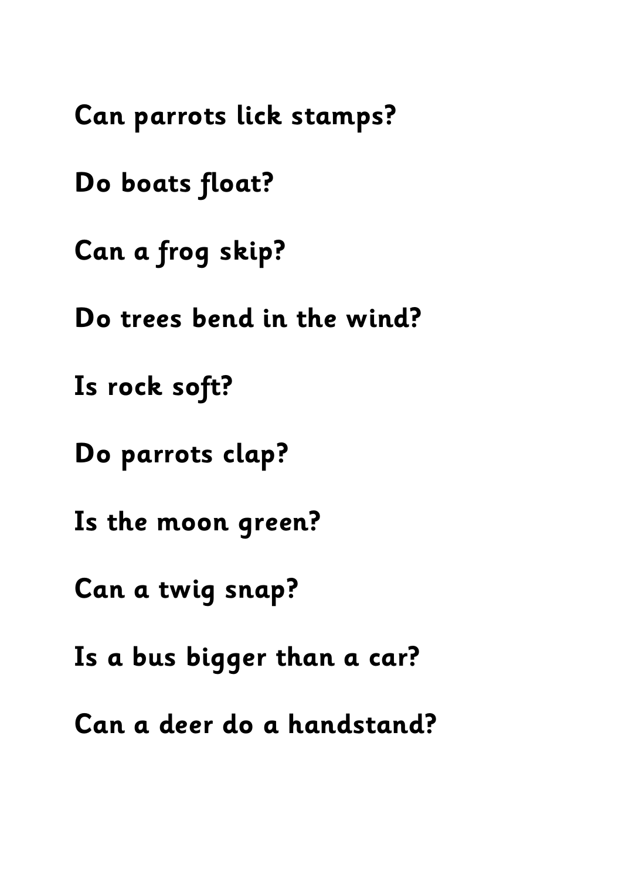**Can parrots lick stamps? Do boats float? Can a frog skip? Do trees bend in the wind? Is rock soft? Do parrots clap? Is the moon green? Can a twig snap? Is a bus bigger than a car? Can a deer do a handstand?**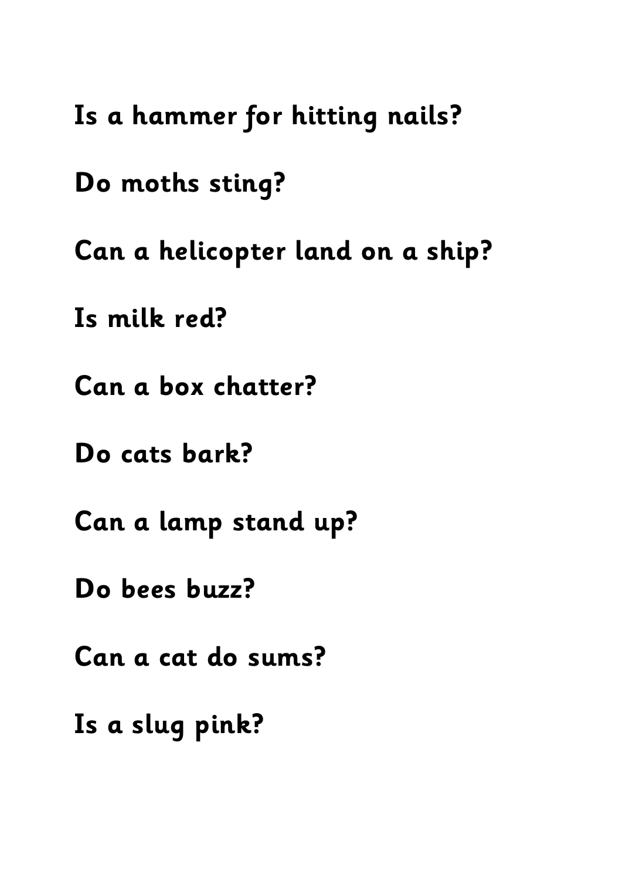**Is a hammer for hitting nails?**

**Do moths sting?**

**Can a helicopter land on a ship?**

**Is milk red?**

**Can a box chatter?**

**Do cats bark?**

**Can a lamp stand up?**

**Do bees buzz?**

**Can a cat do sums?**

**Is a slug pink?**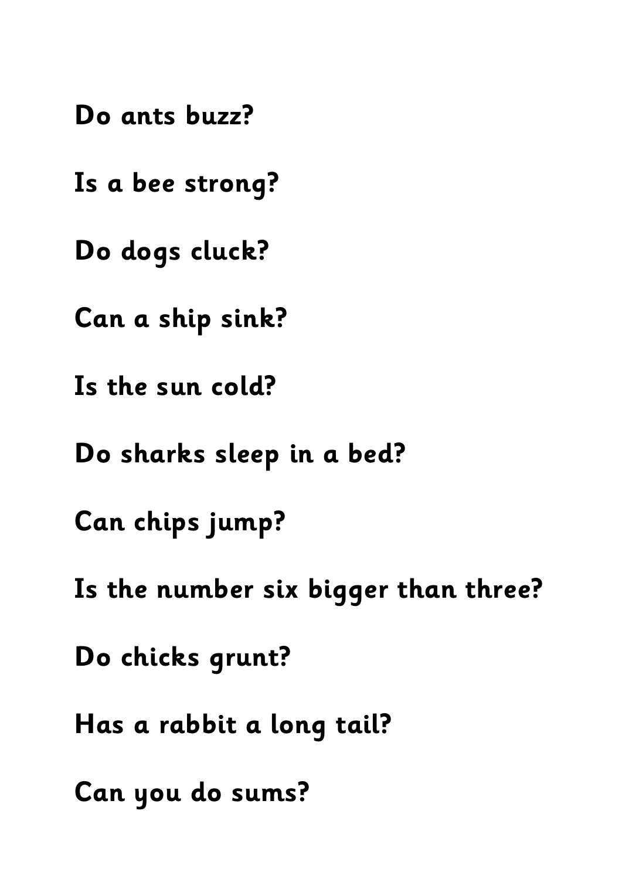**Do ants buzz?**

**Is a bee strong?**

**Do dogs cluck?**

**Can a ship sink?**

**Is the sun cold?**

**Do sharks sleep in a bed?**

**Can chips jump?**

**Is the number six bigger than three?**

**Do chicks grunt?**

**Has a rabbit a long tail?**

**Can you do sums?**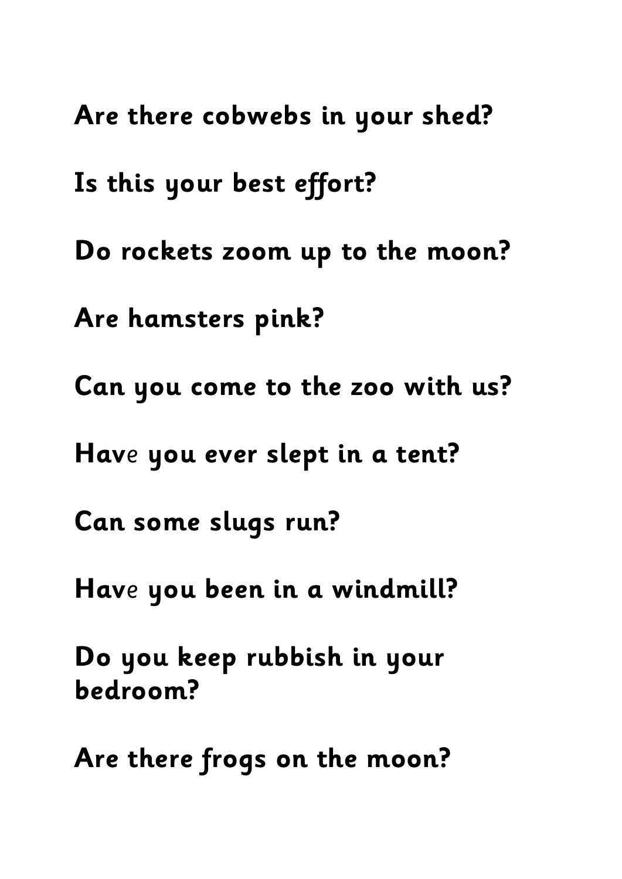**Are there cobwebs in your shed? Is this your best effort? Do rockets zoom up to the moon? Are hamsters pink? Can you come to the zoo with us? Hav**e **you ever slept in a tent? Can some slugs run? Hav**e **you been in a windmill? Do you keep rubbish in your bedroom? Are there frogs on the moon?**